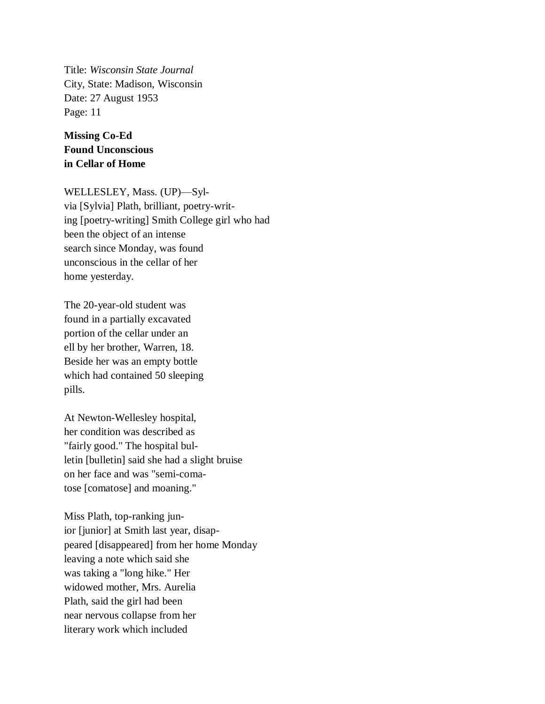Title: *Wisconsin State Journal* City, State: Madison, Wisconsin Date: 27 August 1953 Page: 11

**Missing Co-Ed Found Unconscious in Cellar of Home**

WELLESLEY, Mass. (UP)—Sylvia [Sylvia] Plath, brilliant, poetry-writing [poetry-writing] Smith College girl who had been the object of an intense search since Monday, was found unconscious in the cellar of her home yesterday.

The 20-year-old student was found in a partially excavated portion of the cellar under an ell by her brother, Warren, 18. Beside her was an empty bottle which had contained 50 sleeping pills.

At Newton-Wellesley hospital, her condition was described as "fairly good." The hospital bulletin [bulletin] said she had a slight bruise on her face and was "semi-comatose [comatose] and moaning."

Miss Plath, top-ranking junior [junior] at Smith last year, disappeared [disappeared] from her home Monday leaving a note which said she was taking a "long hike." Her widowed mother, Mrs. Aurelia Plath, said the girl had been near nervous collapse from her literary work which included